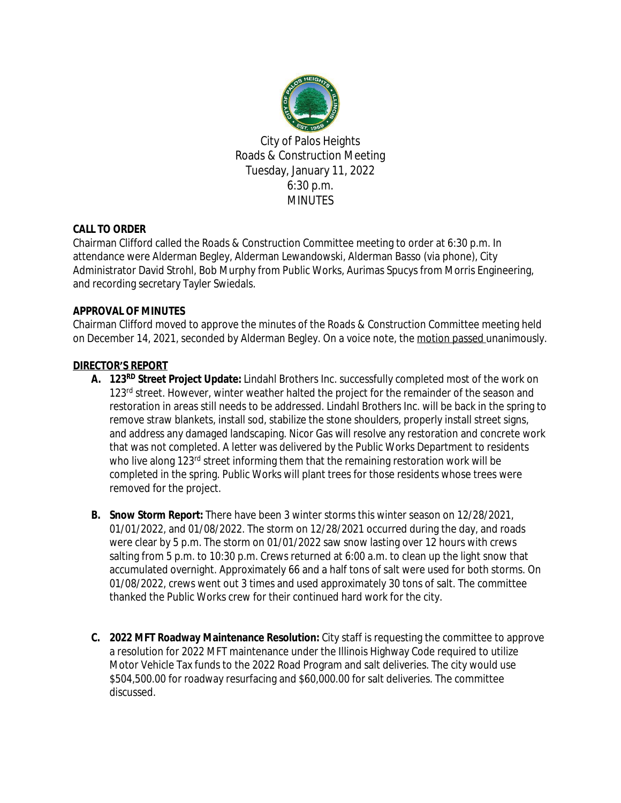

City of Palos Heights Roads & Construction Meeting Tuesday, January 11, 2022 6:30 p.m. **MINUTES** 

# **CALL TO ORDER**

Chairman Clifford called the Roads & Construction Committee meeting to order at 6:30 p.m. In attendance were Alderman Begley, Alderman Lewandowski, Alderman Basso (via phone), City Administrator David Strohl, Bob Murphy from Public Works, Aurimas Spucys from Morris Engineering, and recording secretary Tayler Swiedals.

# **APPROVAL OF MINUTES**

Chairman Clifford moved to approve the minutes of the Roads & Construction Committee meeting held on December 14, 2021, seconded by Alderman Begley. On a voice note, the motion passed unanimously.

# **DIRECTOR'S REPORT**

- **A. 123RD Street Project Update:** Lindahl Brothers Inc. successfully completed most of the work on 123<sup>rd</sup> street. However, winter weather halted the project for the remainder of the season and restoration in areas still needs to be addressed. Lindahl Brothers Inc. will be back in the spring to remove straw blankets, install sod, stabilize the stone shoulders, properly install street signs, and address any damaged landscaping. Nicor Gas will resolve any restoration and concrete work that was not completed. A letter was delivered by the Public Works Department to residents who live along  $123<sup>rd</sup>$  street informing them that the remaining restoration work will be completed in the spring. Public Works will plant trees for those residents whose trees were removed for the project.
- **B. Snow Storm Report:** There have been 3 winter storms this winter season on 12/28/2021, 01/01/2022, and 01/08/2022. The storm on 12/28/2021 occurred during the day, and roads were clear by 5 p.m. The storm on 01/01/2022 saw snow lasting over 12 hours with crews salting from 5 p.m. to 10:30 p.m. Crews returned at 6:00 a.m. to clean up the light snow that accumulated overnight. Approximately 66 and a half tons of salt were used for both storms. On 01/08/2022, crews went out 3 times and used approximately 30 tons of salt. The committee thanked the Public Works crew for their continued hard work for the city.
- **C. 2022 MFT Roadway Maintenance Resolution:** City staff is requesting the committee to approve a resolution for 2022 MFT maintenance under the Illinois Highway Code required to utilize Motor Vehicle Tax funds to the 2022 Road Program and salt deliveries. The city would use \$504,500.00 for roadway resurfacing and \$60,000.00 for salt deliveries. The committee discussed.